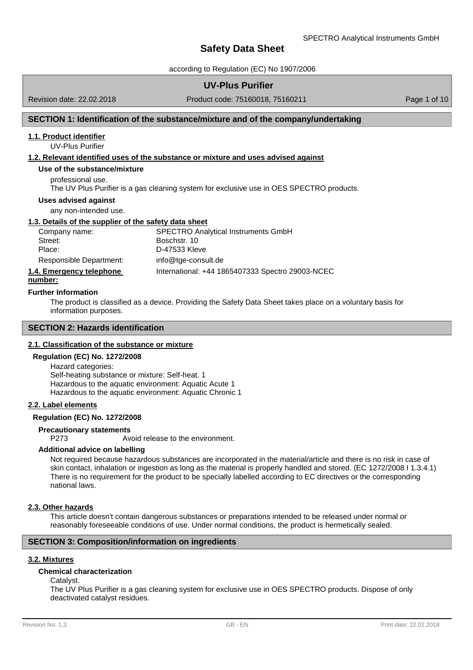according to Regulation (EC) No 1907/2006

## **UV-Plus Purifier**

Revision date: 22.02.2018

Product code: 75160018, 75160211 Product code: 75160018, 75160211

# **SECTION 1: Identification of the substance/mixture and of the company/undertaking**

#### **1.1. Product identifier**

UV-Plus Purifier

### **1.2. Relevant identified uses of the substance or mixture and uses advised against**

## **Use of the substance/mixture**

professional use.

The UV Plus Purifier is a gas cleaning system for exclusive use in OES SPECTRO products.

#### **Uses advised against**

any non-intended use.

#### **1.3. Details of the supplier of the safety data sheet**

| Company name:           | <b>SPECTRO Analytical Instruments GmbH</b> |
|-------------------------|--------------------------------------------|
| Street:                 | Boschstr, 10                               |
| Place:                  | D-47533 Kleve                              |
| Responsible Department: | info@tge-consult.de                        |
|                         |                                            |

# **1.4. Emergency telephone** International: +44 1865407333 Spectro 29003-NCEC

# **number:**

#### **Further Information**

The product is classified as a device. Providing the Safety Data Sheet takes place on a voluntary basis for information purposes.

# **SECTION 2: Hazards identification**

### **2.1. Classification of the substance or mixture**

#### **Regulation (EC) No. 1272/2008**

Hazard categories: Self-heating substance or mixture: Self-heat. 1 Hazardous to the aquatic environment: Aquatic Acute 1 Hazardous to the aquatic environment: Aquatic Chronic 1

## **2.2. Label elements**

#### **Regulation (EC) No. 1272/2008**

#### **Precautionary statements**

P273 Avoid release to the environment.

## **Additional advice on labelling**

Not required because hazardous substances are incorporated in the material/article and there is no risk in case of skin contact, inhalation or ingestion as long as the material is properly handled and stored. (EC 1272/2008 I 1.3.4.1) There is no requirement for the product to be specially labelled according to EC directives or the corresponding national laws.

#### **2.3. Other hazards**

This article doesn't contain dangerous substances or preparations intended to be released under normal or reasonably foreseeable conditions of use. Under normal conditions, the product is hermetically sealed.

#### **SECTION 3: Composition/information on ingredients**

#### **3.2. Mixtures**

## **Chemical characterization**

Catalyst.

The UV Plus Purifier is a gas cleaning system for exclusive use in OES SPECTRO products. Dispose of only deactivated catalyst residues.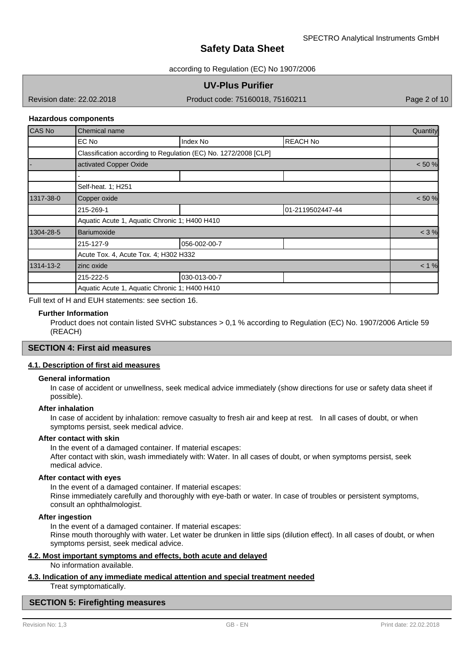according to Regulation (EC) No 1907/2006

## **UV-Plus Purifier**

Revision date: 22.02.2018

Product code: 75160018, 75160211 Product code: 75160018, 75160211

#### **Hazardous components**

| CAS No    | Chemical name                                 |                                                                 |                  |  |  |
|-----------|-----------------------------------------------|-----------------------------------------------------------------|------------------|--|--|
|           | EC No                                         | Index No                                                        | <b>IREACH No</b> |  |  |
|           |                                               | Classification according to Regulation (EC) No. 1272/2008 [CLP] |                  |  |  |
|           | activated Copper Oxide                        |                                                                 |                  |  |  |
|           |                                               |                                                                 |                  |  |  |
|           | Self-heat. 1; H251                            |                                                                 |                  |  |  |
| 1317-38-0 | Copper oxide                                  |                                                                 |                  |  |  |
|           | 215-269-1                                     |                                                                 | 01-2119502447-44 |  |  |
|           | Aquatic Acute 1, Aquatic Chronic 1; H400 H410 |                                                                 |                  |  |  |
| 1304-28-5 | Bariumoxide                                   |                                                                 |                  |  |  |
|           | 215-127-9                                     | 056-002-00-7                                                    |                  |  |  |
|           | Acute Tox. 4, Acute Tox. 4; H302 H332         |                                                                 |                  |  |  |
| 1314-13-2 | zinc oxide                                    |                                                                 |                  |  |  |
|           | 215-222-5                                     | 030-013-00-7                                                    |                  |  |  |
|           | Aquatic Acute 1, Aquatic Chronic 1; H400 H410 |                                                                 |                  |  |  |

Full text of H and EUH statements: see section 16.

#### **Further Information**

Product does not contain listed SVHC substances > 0,1 % according to Regulation (EC) No. 1907/2006 Article 59 (REACH)

## **SECTION 4: First aid measures**

## **4.1. Description of first aid measures**

#### **General information**

In case of accident or unwellness, seek medical advice immediately (show directions for use or safety data sheet if possible).

### **After inhalation**

In case of accident by inhalation: remove casualty to fresh air and keep at rest. In all cases of doubt, or when symptoms persist, seek medical advice.

### **After contact with skin**

In the event of a damaged container. If material escapes: After contact with skin, wash immediately with: Water. In all cases of doubt, or when symptoms persist, seek medical advice.

#### **After contact with eyes**

In the event of a damaged container. If material escapes:

Rinse immediately carefully and thoroughly with eye-bath or water. In case of troubles or persistent symptoms, consult an ophthalmologist.

### **After ingestion**

In the event of a damaged container. If material escapes:

Rinse mouth thoroughly with water. Let water be drunken in little sips (dilution effect). In all cases of doubt, or when symptoms persist, seek medical advice.

#### **4.2. Most important symptoms and effects, both acute and delayed**

No information available.

# **4.3. Indication of any immediate medical attention and special treatment needed**

Treat symptomatically.

#### **SECTION 5: Firefighting measures**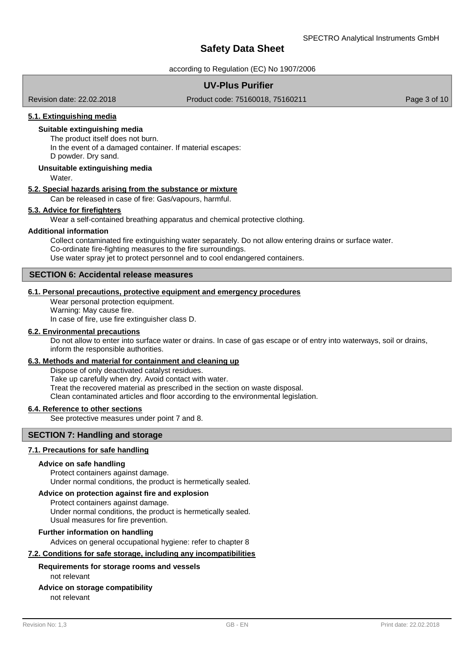according to Regulation (EC) No 1907/2006

# **UV-Plus Purifier**

Revision date: 22.02.2018

Product code: 75160018, 75160211 Product code: 75160018, 75160211

## **5.1. Extinguishing media**

## **Suitable extinguishing media**

The product itself does not burn.

In the event of a damaged container. If material escapes: D powder. Dry sand.

### **Unsuitable extinguishing media**

Water.

#### **5.2. Special hazards arising from the substance or mixture**

Can be released in case of fire: Gas/vapours, harmful.

#### **5.3. Advice for firefighters**

Wear a self-contained breathing apparatus and chemical protective clothing.

#### **Additional information**

Collect contaminated fire extinguishing water separately. Do not allow entering drains or surface water. Co-ordinate fire-fighting measures to the fire surroundings. Use water spray jet to protect personnel and to cool endangered containers.

## **SECTION 6: Accidental release measures**

### **6.1. Personal precautions, protective equipment and emergency procedures**

Wear personal protection equipment. Warning: May cause fire. In case of fire, use fire extinguisher class D.

## **6.2. Environmental precautions**

Do not allow to enter into surface water or drains. In case of gas escape or of entry into waterways, soil or drains, inform the responsible authorities.

### **6.3. Methods and material for containment and cleaning up**

Dispose of only deactivated catalyst residues. Take up carefully when dry. Avoid contact with water. Treat the recovered material as prescribed in the section on waste disposal. Clean contaminated articles and floor according to the environmental legislation.

#### **6.4. Reference to other sections**

See protective measures under point 7 and 8.

#### **SECTION 7: Handling and storage**

## **7.1. Precautions for safe handling**

#### **Advice on safe handling**

Protect containers against damage. Under normal conditions, the product is hermetically sealed.

#### **Advice on protection against fire and explosion**

Protect containers against damage. Under normal conditions, the product is hermetically sealed. Usual measures for fire prevention.

#### **Further information on handling**

Advices on general occupational hygiene: refer to chapter 8

**7.2. Conditions for safe storage, including any incompatibilities**

#### not relevant **Requirements for storage rooms and vessels**

#### **Advice on storage compatibility**

not relevant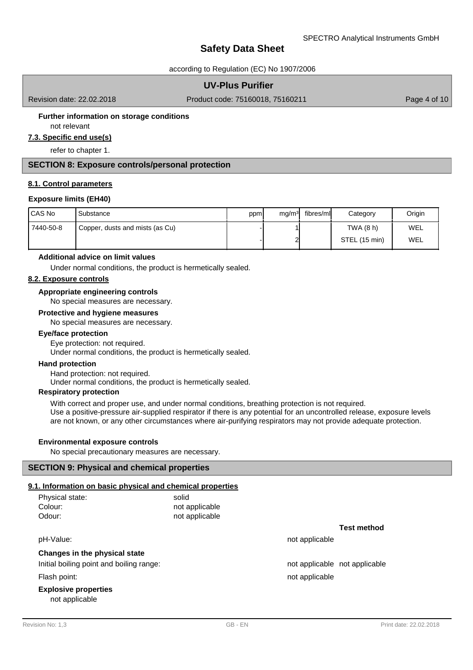according to Regulation (EC) No 1907/2006

## **UV-Plus Purifier**

Revision date: 22.02.2018

Product code: 75160018, 75160211 Product code: 75160018, 75160211

### **Further information on storage conditions**

not relevant

**7.3. Specific end use(s)**

refer to chapter 1.

## **SECTION 8: Exposure controls/personal protection**

#### **8.1. Control parameters**

#### **Exposure limits (EH40)**

| l CAS No  | Substance                       | ppm | mg/m <sup>3</sup> | fibres/ml | Category      | Origin |
|-----------|---------------------------------|-----|-------------------|-----------|---------------|--------|
| 7440-50-8 | Copper, dusts and mists (as Cu) |     |                   |           | TWA (8 h)     | WEL    |
|           |                                 |     |                   |           | STEL (15 min) | WEL    |

#### **Additional advice on limit values**

Under normal conditions, the product is hermetically sealed.

### **8.2. Exposure controls**

## **Appropriate engineering controls**

No special measures are necessary.

## **Protective and hygiene measures**

No special measures are necessary.

#### **Eye/face protection**

Eye protection: not required.

Under normal conditions, the product is hermetically sealed.

#### **Hand protection**

Hand protection: not required.

Under normal conditions, the product is hermetically sealed.

### **Respiratory protection**

With correct and proper use, and under normal conditions, breathing protection is not required. Use a positive-pressure air-supplied respirator if there is any potential for an uncontrolled release, exposure levels are not known, or any other circumstances where air-purifying respirators may not provide adequate protection.

#### **Environmental exposure controls**

No special precautionary measures are necessary.

## **SECTION 9: Physical and chemical properties**

## **9.1. Information on basic physical and chemical properties**

| Physical state:<br>Colour:<br>Odour:          | solid<br>not applicable<br>not applicable |                               |                    |
|-----------------------------------------------|-------------------------------------------|-------------------------------|--------------------|
|                                               |                                           |                               | <b>Test method</b> |
| pH-Value:                                     |                                           | not applicable                |                    |
| Changes in the physical state                 |                                           |                               |                    |
| Initial boiling point and boiling range:      |                                           | not applicable not applicable |                    |
| Flash point:                                  |                                           | not applicable                |                    |
| <b>Explosive properties</b><br>not applicable |                                           |                               |                    |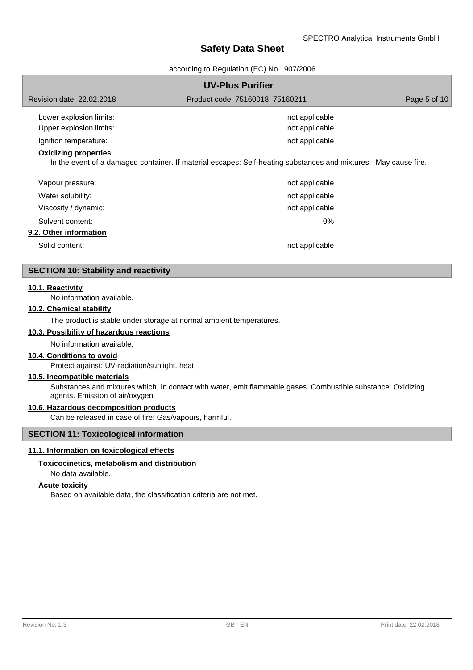according to Regulation (EC) No 1907/2006

| <b>UV-Plus Purifier</b>     |                                                                                                                |  |  |  |  |
|-----------------------------|----------------------------------------------------------------------------------------------------------------|--|--|--|--|
| Revision date: 22.02.2018   | Product code: 75160018, 75160211                                                                               |  |  |  |  |
| Lower explosion limits:     | not applicable                                                                                                 |  |  |  |  |
| Upper explosion limits:     | not applicable                                                                                                 |  |  |  |  |
| Ignition temperature:       | not applicable                                                                                                 |  |  |  |  |
| <b>Oxidizing properties</b> | In the event of a damaged container. If material escapes: Self-heating substances and mixtures May cause fire. |  |  |  |  |
| Vapour pressure:            | not applicable                                                                                                 |  |  |  |  |
| Water solubility:           | not applicable                                                                                                 |  |  |  |  |
| Viscosity / dynamic:        | not applicable                                                                                                 |  |  |  |  |
| Solvent content:            | 0%                                                                                                             |  |  |  |  |
| 9.2. Other information      |                                                                                                                |  |  |  |  |
| Solid content:              | not applicable                                                                                                 |  |  |  |  |

# **SECTION 10: Stability and reactivity**

#### **10.1. Reactivity**

No information available.

## **10.2. Chemical stability**

The product is stable under storage at normal ambient temperatures.

## **10.3. Possibility of hazardous reactions**

#### No information available.

## **10.4. Conditions to avoid**

Protect against: UV-radiation/sunlight. heat.

## **10.5. Incompatible materials**

Substances and mixtures which, in contact with water, emit flammable gases. Combustible substance. Oxidizing agents. Emission of air/oxygen.

## **10.6. Hazardous decomposition products**

Can be released in case of fire: Gas/vapours, harmful.

## **SECTION 11: Toxicological information**

#### **11.1. Information on toxicological effects**

#### **Toxicocinetics, metabolism and distribution**

No data available.

#### **Acute toxicity**

Based on available data, the classification criteria are not met.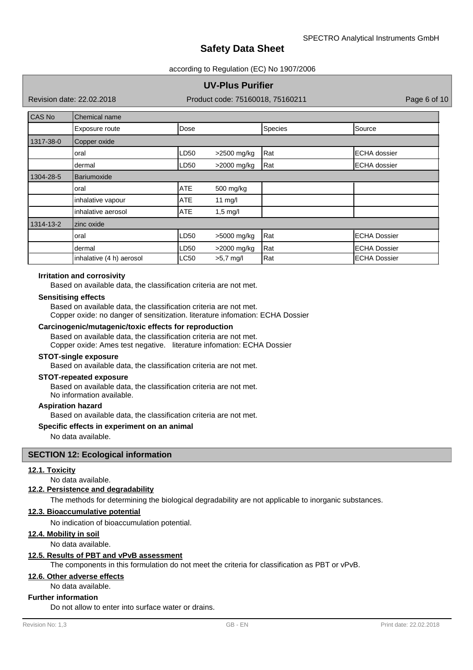#### according to Regulation (EC) No 1907/2006

## **UV-Plus Purifier**

Revision date: 22.02.2018

Product code: 75160018, 75160211 Product code: 75160018, 75160211

| CAS No    | Chemical name            |             |             |         |                     |  |
|-----------|--------------------------|-------------|-------------|---------|---------------------|--|
|           | Exposure route           | Dose        |             | Species | Source              |  |
| 1317-38-0 | Copper oxide             |             |             |         |                     |  |
|           | oral                     | LD50        | >2500 mg/kg | Rat     | <b>ECHA</b> dossier |  |
|           | dermal                   | LD50        | >2000 mg/kg | Rat     | <b>ECHA</b> dossier |  |
| 1304-28-5 | Bariumoxide              |             |             |         |                     |  |
|           | oral                     | <b>ATE</b>  | 500 mg/kg   |         |                     |  |
|           | inhalative vapour        | <b>ATE</b>  | 11 $mg/l$   |         |                     |  |
|           | inhalative aerosol       | <b>ATE</b>  | $1,5$ mg/l  |         |                     |  |
| 1314-13-2 | zinc oxide               |             |             |         |                     |  |
|           | oral                     | LD50        | >5000 mg/kg | Rat     | <b>ECHA Dossier</b> |  |
|           | dermal                   | LD50        | >2000 mg/kg | Rat     | <b>ECHA Dossier</b> |  |
|           | inhalative (4 h) aerosol | <b>LC50</b> | $>5,7$ mg/l | Rat     | <b>ECHA Dossier</b> |  |

### **Irritation and corrosivity**

Based on available data, the classification criteria are not met.

#### **Sensitising effects**

Based on available data, the classification criteria are not met. Copper oxide: no danger of sensitization. literature infomation: ECHA Dossier

## **Carcinogenic/mutagenic/toxic effects for reproduction**

Based on available data, the classification criteria are not met.

Copper oxide: Ames test negative. literature infomation: ECHA Dossier

# **STOT-single exposure**

Based on available data, the classification criteria are not met.

#### **STOT-repeated exposure**

Based on available data, the classification criteria are not met. No information available.

## **Aspiration hazard**

Based on available data, the classification criteria are not met.

#### **Specific effects in experiment on an animal**

No data available.

#### **SECTION 12: Ecological information**

#### **12.1. Toxicity**

No data available.

#### **12.2. Persistence and degradability**

The methods for determining the biological degradability are not applicable to inorganic substances.

#### **12.3. Bioaccumulative potential**

No indication of bioaccumulation potential.

#### **12.4. Mobility in soil**

No data available.

## **12.5. Results of PBT and vPvB assessment**

The components in this formulation do not meet the criteria for classification as PBT or vPvB.

#### **12.6. Other adverse effects**

No data available.

## **Further information**

Do not allow to enter into surface water or drains.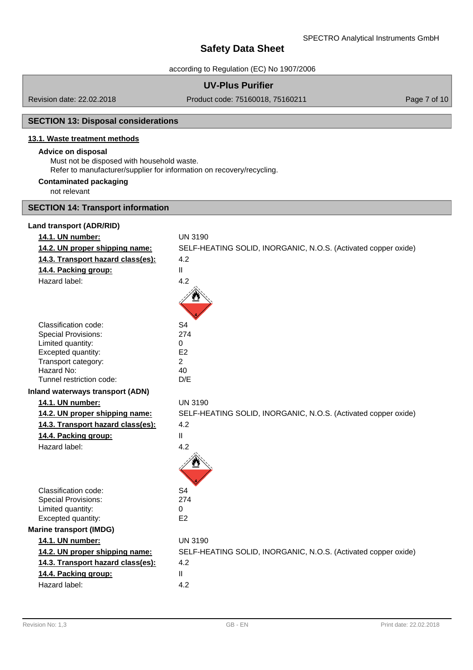according to Regulation (EC) No 1907/2006

## **UV-Plus Purifier**

Revision date: 22.02.2018

Product code: 75160018, 75160211 Product 2010 Page 7 of 10

# **SECTION 13: Disposal considerations**

# **13.1. Waste treatment methods**

#### **Advice on disposal**

Must not be disposed with household waste.

Refer to manufacturer/supplier for information on recovery/recycling.

## **Contaminated packaging**

not relevant

# **SECTION 14: Transport information**

#### **Land transport (ADR/RID)**

| 14.1. UN number:                        | <b>UN 3190</b>                                                 |
|-----------------------------------------|----------------------------------------------------------------|
| 14.2. UN proper shipping name:          | SELF-HEATING SOLID, INORGANIC, N.O.S. (Activated copper oxide) |
| 14.3. Transport hazard class(es):       | 4.2                                                            |
| 14.4. Packing group:                    | $\mathsf{II}$                                                  |
| Hazard label:                           | 4.2                                                            |
|                                         |                                                                |
| Classification code:                    | S <sub>4</sub>                                                 |
| <b>Special Provisions:</b>              | 274                                                            |
| Limited quantity:                       | 0                                                              |
| Excepted quantity:                      | E2                                                             |
| Transport category:<br>Hazard No:       | $\overline{2}$<br>40                                           |
| Tunnel restriction code:                | D/E                                                            |
| <b>Inland waterways transport (ADN)</b> |                                                                |
|                                         |                                                                |
| 14.1. UN number:                        | <b>UN 3190</b>                                                 |
| 14.2. UN proper shipping name:          | SELF-HEATING SOLID, INORGANIC, N.O.S. (Activated copper oxide) |
| 14.3. Transport hazard class(es):       | 4.2                                                            |
| 14.4. Packing group:                    | $\mathbf{H}$                                                   |
| Hazard label:                           | 4.2                                                            |
|                                         |                                                                |
| Classification code:                    | S <sub>4</sub>                                                 |
| <b>Special Provisions:</b>              | 274                                                            |
| Limited quantity:                       | 0                                                              |
| Excepted quantity:                      | E <sub>2</sub>                                                 |
| <b>Marine transport (IMDG)</b>          |                                                                |
| 14.1. UN number:                        | <b>UN 3190</b>                                                 |
| 14.2. UN proper shipping name:          | SELF-HEATING SOLID, INORGANIC, N.O.S. (Activated copper oxide) |
| 14.3. Transport hazard class(es):       | 4.2                                                            |
| 14.4. Packing group:                    | $\mathbf{II}$                                                  |
| Hazard label:                           | 4.2                                                            |
|                                         |                                                                |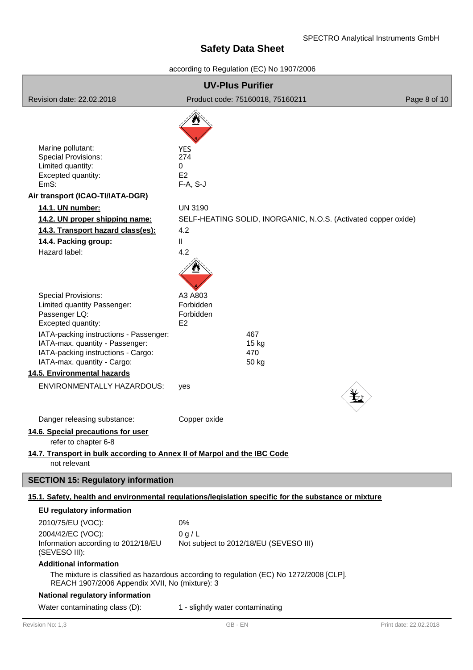# according to Regulation (EC) No 1907/2006

| <b>UV-Plus Purifier</b>                                                                                                                        |                                                                                                      |                        |  |  |  |
|------------------------------------------------------------------------------------------------------------------------------------------------|------------------------------------------------------------------------------------------------------|------------------------|--|--|--|
| Revision date: 22.02.2018                                                                                                                      | Product code: 75160018, 75160211                                                                     | Page 8 of 10           |  |  |  |
|                                                                                                                                                |                                                                                                      |                        |  |  |  |
| Marine pollutant:<br><b>Special Provisions:</b><br>Limited quantity:<br>Excepted quantity:<br>EmS:                                             | <b>YES</b><br>274<br>0<br>E <sub>2</sub><br>$F-A, S-J$                                               |                        |  |  |  |
| Air transport (ICAO-TI/IATA-DGR)                                                                                                               |                                                                                                      |                        |  |  |  |
| 14.1. UN number:                                                                                                                               | <b>UN 3190</b>                                                                                       |                        |  |  |  |
| 14.2. UN proper shipping name:                                                                                                                 | SELF-HEATING SOLID, INORGANIC, N.O.S. (Activated copper oxide)                                       |                        |  |  |  |
| 14.3. Transport hazard class(es):                                                                                                              | 4.2                                                                                                  |                        |  |  |  |
| 14.4. Packing group:                                                                                                                           | Ш                                                                                                    |                        |  |  |  |
| Hazard label:                                                                                                                                  | 4.2                                                                                                  |                        |  |  |  |
| <b>Special Provisions:</b><br>Limited quantity Passenger:<br>Passenger LQ:<br>Excepted quantity:                                               | A3 A803<br>Forbidden<br>Forbidden<br>E <sub>2</sub>                                                  |                        |  |  |  |
| IATA-packing instructions - Passenger:<br>IATA-max. quantity - Passenger:<br>IATA-packing instructions - Cargo:<br>IATA-max. quantity - Cargo: | 467<br>$15$ kg<br>470<br>50 kg                                                                       |                        |  |  |  |
| 14.5. Environmental hazards                                                                                                                    |                                                                                                      |                        |  |  |  |
| ENVIRONMENTALLY HAZARDOUS:                                                                                                                     | yes                                                                                                  |                        |  |  |  |
| Danger releasing substance:                                                                                                                    | Copper oxide                                                                                         |                        |  |  |  |
| 14.6. Special precautions for user<br>refer to chapter 6-8                                                                                     |                                                                                                      |                        |  |  |  |
| 14.7. Transport in bulk according to Annex II of Marpol and the IBC Code                                                                       |                                                                                                      |                        |  |  |  |
| not relevant                                                                                                                                   |                                                                                                      |                        |  |  |  |
| <b>SECTION 15: Regulatory information</b>                                                                                                      |                                                                                                      |                        |  |  |  |
|                                                                                                                                                | 15.1. Safety, health and environmental regulations/legislation specific for the substance or mixture |                        |  |  |  |
| <b>EU</b> regulatory information                                                                                                               |                                                                                                      |                        |  |  |  |
| 2010/75/EU (VOC):                                                                                                                              | 0%                                                                                                   |                        |  |  |  |
| 2004/42/EC (VOC):                                                                                                                              | 0 g/L                                                                                                |                        |  |  |  |
| Information according to 2012/18/EU<br>(SEVESO III):                                                                                           | Not subject to 2012/18/EU (SEVESO III)                                                               |                        |  |  |  |
| <b>Additional information</b><br>REACH 1907/2006 Appendix XVII, No (mixture): 3                                                                | The mixture is classified as hazardous according to regulation (EC) No 1272/2008 [CLP].              |                        |  |  |  |
| National regulatory information                                                                                                                |                                                                                                      |                        |  |  |  |
| Water contaminating class (D):                                                                                                                 | 1 - slightly water contaminating                                                                     |                        |  |  |  |
| Revision No: 1,3                                                                                                                               | GB - EN                                                                                              | Print date: 22.02.2018 |  |  |  |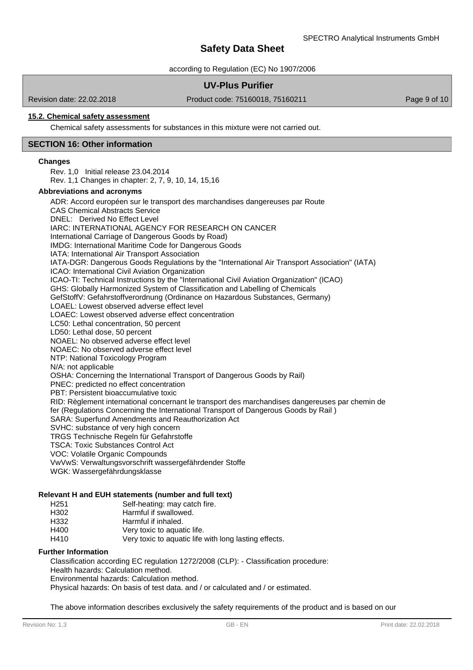according to Regulation (EC) No 1907/2006

# **UV-Plus Purifier**

Revision date: 22.02.2018

Product code: 75160018, 75160211 Product code: 75160018, 75160211

## **15.2. Chemical safety assessment**

Chemical safety assessments for substances in this mixture were not carried out.

### **SECTION 16: Other information**

#### **Changes**

Rev. 1,0 Initial release 23.04.2014 Rev. 1,1 Changes in chapter: 2, 7, 9, 10, 14, 15,16

#### **Abbreviations and acronyms**

ADR: Accord européen sur le transport des marchandises dangereuses par Route CAS Chemical Abstracts Service DNEL: Derived No Effect Level IARC: INTERNATIONAL AGENCY FOR RESEARCH ON CANCER International Carriage of Dangerous Goods by Road) IMDG: International Maritime Code for Dangerous Goods IATA: International Air Transport Association IATA-DGR: Dangerous Goods Regulations by the "International Air Transport Association" (IATA) ICAO: International Civil Aviation Organization ICAO-TI: Technical Instructions by the "International Civil Aviation Organization" (ICAO) GHS: Globally Harmonized System of Classification and Labelling of Chemicals GefStoffV: Gefahrstoffverordnung (Ordinance on Hazardous Substances, Germany) LOAEL: Lowest observed adverse effect level LOAEC: Lowest observed adverse effect concentration LC50: Lethal concentration, 50 percent LD50: Lethal dose, 50 percent NOAEL: No observed adverse effect level NOAEC: No observed adverse effect level NTP: National Toxicology Program N/A: not applicable OSHA: Concerning the International Transport of Dangerous Goods by Rail) PNEC: predicted no effect concentration PBT: Persistent bioaccumulative toxic RID: Règlement international concernant le transport des marchandises dangereuses par chemin de fer (Regulations Concerning the International Transport of Dangerous Goods by Rail ) SARA: Superfund Amendments and Reauthorization Act SVHC: substance of very high concern TRGS Technische Regeln für Gefahrstoffe TSCA: Toxic Substances Control Act VOC: Volatile Organic Compounds VwVwS: Verwaltungsvorschrift wassergefährdender Stoffe

WGK: Wassergefährdungsklasse

#### **Relevant H and EUH statements (number and full text)**

H251 Self-heating: may catch fire.

- H302 Harmful if swallowed.<br>
H332 Harmful if inhaled
- H332 Harmful if inhaled.<br>H400 Very toxic to aquat
- Very toxic to aquatic life.
- H410 Very toxic to aquatic life with long lasting effects.

## **Further Information**

Classification according EC regulation 1272/2008 (CLP): - Classification procedure: Health hazards: Calculation method. Environmental hazards: Calculation method.

Physical hazards: On basis of test data. and / or calculated and / or estimated.

The above information describes exclusively the safety requirements of the product and is based on our